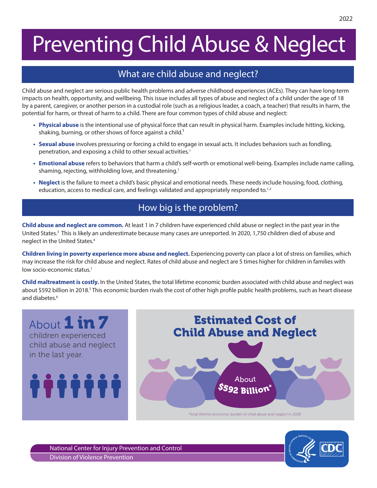# Preventing Child Abuse & Neglect

## What are child abuse and neglect?

Child abuse and neglect are serious public health problems and adverse childhood experiences (ACEs). They can have long-term impacts on health, opportunity, and wellbeing. This issue includes all types of abuse and neglect of a child under the age of 18 by a parent, caregiver, or another person in a custodial role (such as a religious leader, a coach, a teacher) that results in harm, the potential for harm, or threat of harm to a child. There are four common types of child abuse and neglect:

- **• Physical abuse** is the intentional use of physical force that can result in physical harm. Examples include hitting, kicking, shaking, burning, or other shows of force against a child.<sup>1</sup>
- **• Sexual abuse** involves pressuring or forcing a child to engage in sexual acts. It includes behaviors such as fondling, penetration, and exposing a child to other sexual activities.<sup>1</sup>
- **• Emotional abuse** refers to behaviors that harm a child's self-worth or emotional well-being. Examples include name calling, shaming, rejecting, withholding love, and threatening.<sup>1</sup>
- **• Neglect** is the failure to meet a child's basic physical and emotional needs. These needs include housing, food, clothing, education, access to medical care, and feelings validated and appropriately responded to.<sup>1,2</sup>

# How big is the problem?

**Child abuse and neglect are common.** At least 1 in 7 children have experienced child abuse or neglect in the past year in the United States.<sup>3</sup> This is likely an underestimate because many cases are unreported. In 2020, 1,750 children died of abuse and neglect in the United States.4

**Children living in poverty experience more abuse and neglect.** Experiencing poverty can place a lot of stress on families, which may increase the risk for child abuse and neglect. Rates of child abuse and neglect are 5 times higher for children in families with low socio-economic status.<sup>1</sup>

**Child maltreatment is costly.** In the United States, the total lifetime economic burden associated with child abuse and neglect was about \$592 billion in 2018.<sup>5</sup> This economic burden rivals the cost of other high profile public health problems, such as heart disease and diabetes.<sup>6</sup>